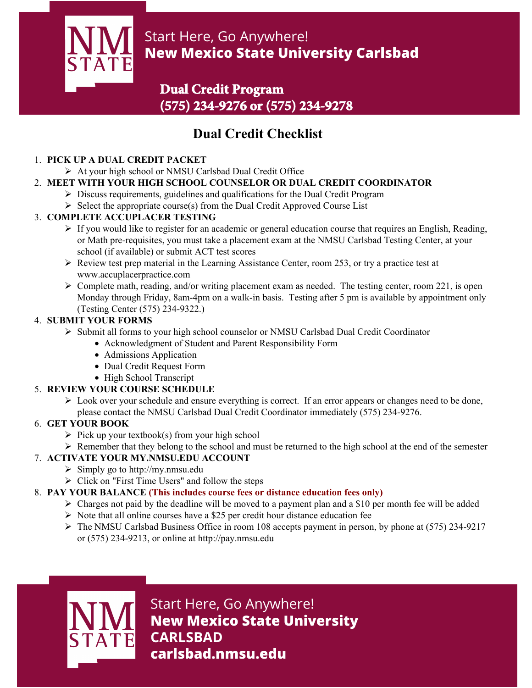

# Start Here, Go Anywhere! **New Mexico State University Carlsbad**

## **Dual Credit Program (575) 234-9276 or (575) 234-9278**

# **Dual Credit Checklist**

### 1. **PICK UP A DUAL CREDIT PACKET**

- At your high school or NMSU Carlsbad Dual Credit Office
- 2. **MEET WITH YOUR HIGH SCHOOL COUNSELOR OR DUAL CREDIT COORDINATOR**
	- Discuss requirements, guidelines and qualifications for the Dual Credit Program
	- $\triangleright$  Select the appropriate course(s) from the Dual Credit Approved Course List

### 3. **COMPLETE ACCUPLACER TESTING**

- $\triangleright$  If you would like to register for an academic or general education course that requires an English, Reading, or Math pre-requisites, you must take a placement exam at the NMSU Carlsbad Testing Center, at your school (if available) or submit ACT test scores
- $\triangleright$  Review test prep material in the Learning Assistance Center, room 253, or try a practice test at www.accuplacerpractice.com
- $\triangleright$  Complete math, reading, and/or writing placement exam as needed. The testing center, room 221, is open Monday through Friday, 8am-4pm on a walk-in basis. Testing after 5 pm is available by appointment only (Testing Center (575) 234-9322.)

### 4. **SUBMIT YOUR FORMS**

- $\triangleright$  Submit all forms to your high school counselor or NMSU Carlsbad Dual Credit Coordinator
	- Acknowledgment of Student and Parent Responsibility Form
	- Admissions Application
	- Dual Credit Request Form
	- High School Transcript

## 5. **REVIEW YOUR COURSE SCHEDULE**

 $\triangleright$  Look over your schedule and ensure everything is correct. If an error appears or changes need to be done, please contact the NMSU Carlsbad Dual Credit Coordinator immediately (575) 234-9276.

### 6. **GET YOUR BOOK**

- $\triangleright$  Pick up your textbook(s) from your high school
- $\triangleright$  Remember that they belong to the school and must be returned to the high school at the end of the semester

## 7. **ACTIVATE YOUR MY.NMSU.EDU ACCOUNT**

- $\triangleright$  Simply go to http://my.nmsu.edu
- $\triangleright$  Click on "First Time Users" and follow the steps
- 8. **PAY YOUR BALANCE (This includes course fees or distance education fees only)**
	- $\triangleright$  Charges not paid by the deadline will be moved to a payment plan and a \$10 per month fee will be added
	- $\triangleright$  Note that all online courses have a \$25 per credit hour distance education fee
	- $\triangleright$  The NMSU Carlsbad Business Office in room 108 accepts payment in person, by phone at (575) 234-9217 or (575) 234-9213, or online at http://pay.nmsu.edu



Start Here, Go Anywhere! **New Mexico State University CARLSBAD carlsbad.nmsu.edu**